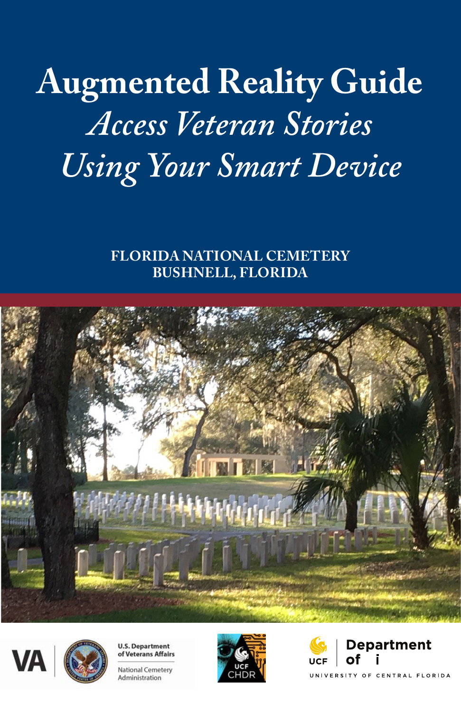# **Augmented Reality Guide** *Access Veteran Stories Using Your Smart Device*

**FLORIDA NATIONAL CEMETERY BUSHNELL, FLORIDA** 







Administration



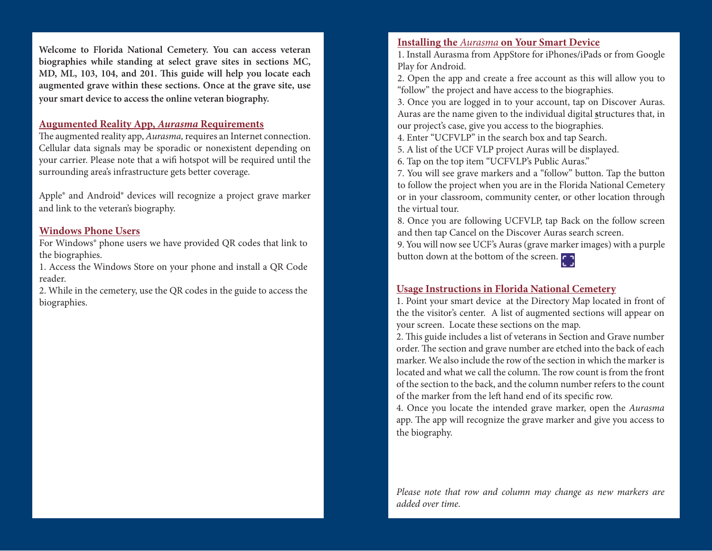**Welcome to Florida National Cemetery. You can access veteran biographies while standing at select grave sites in sections MC, MD, ML, 103, 104, and 201. Tis guide will help you locate each augmented grave within these sections. Once at the grave site, use your smart device to access the online veteran biography.** 

#### **Augumented Reality App,** *Aurasma* **Requirements**

The augmented reality app, *Aurasma*, requires an Internet connection. Cellular data signals may be sporadic or nonexistent depending on your carrier. Please note that a wif hotspot will be required until the surrounding area's infrastructure gets better coverage.

Apple® and Android® devices will recognize a project grave marker and link to the veteran's biography.

## **Windows Phone Users**

For Windows® phone users we have provided QR codes that link to the biographies.

1. Access the Windows Store on your phone and install a QR Code reader.

2. While in the cemetery, use the QR codes in the guide to access the biographies.

### **Installing the** *Aurasma* **on Your Smart Device**

Play for Android. 1. Install Aurasma from AppStore for iPhones/iPads or from Google

"follow" the project and have access to the biographies. 2. Open the app and create a free account as this will allow you to

3. Once you are logged in to your account, tap on Discover Auras. Auras are the name given to the individual digital structures that, in our project's case, give you access to the biographies.

but projects case, give you access to the biographies.<br>
4. Enter "UCFVLP" in the search box and tap Search.

F. Enter OCF VEP in the search box and tap search.<br>5. A list of the UCF VLP project Auras will be displayed.

cemetery. 6. Tap on the top item "UCFVLP's Public Auras."

to follow the project when you are in the Florida National Cemetery 7. You will see grave markers and a "follow" button. Tap the button or in your classroom, community center, or other location through the virtual tour.

8. Once you are following UCFVLP, tap Back on the follow screen and then tap Cancel on the Discover Auras search screen.

9. You will now see UCF's Auras (grave marker images) with a purple button down at the bottom of the screen.

#### **Usage Instructions in Florida National Cemetery**

1. Point your smart device at the Directory Map located in front of the the visitor's center. A list of augmented sections will appear on your screen. Locate these sections on the map.

2. This guide includes a list of veterans in Section and Grave number order. The section and grave number are etched into the back of each marker. We also include the row of the section in which the marker is located and what we call the column. The row count is from the front of the section to the back, and the column number refers to the count of the marker from the left hand end of its specific row.

4. Once you locate the intended grave marker, open the *Aurasma*  app. The app will recognize the grave marker and give you access to the biography.

*Please note that row and column may change as new markers are added over time.*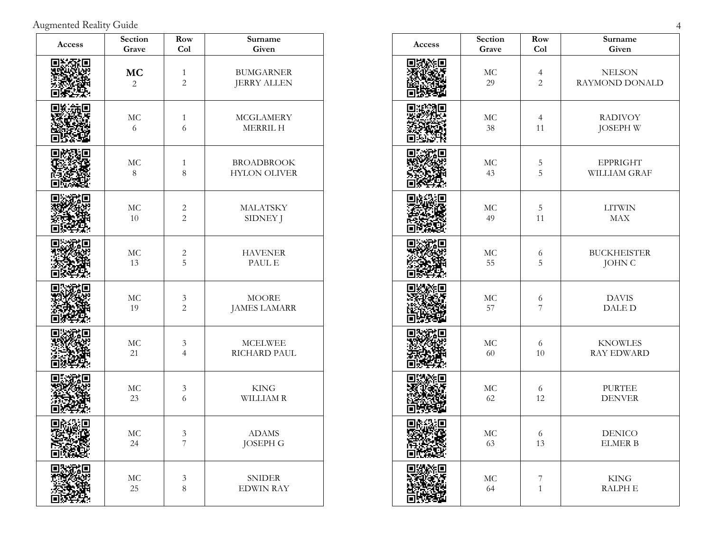Augmented Reality Guide 4

| Access | Section<br>Grave            | Row<br>Col                                    | Surname<br>Given                          | Access |
|--------|-----------------------------|-----------------------------------------------|-------------------------------------------|--------|
|        | <b>MC</b><br>$\overline{2}$ | $\mathbf{1}$<br>$\sqrt{2}$                    | <b>BUMGARNER</b><br><b>JERRY ALLEN</b>    |        |
|        | $\rm MC$<br>6               | $\mathbf{1}$<br>6                             | <b>MCGLAMERY</b><br>MERRIL H              |        |
|        | $\rm MC$<br>$\,8\,$         | $\mathbf{1}$<br>$\,8\,$                       | <b>BROADBROOK</b><br><b>HYLON OLIVER</b>  |        |
|        | $\rm MC$<br>$10\,$          | $\sqrt{2}$<br>$\sqrt{2}$                      | <b>MALATSKY</b><br>SIDNEY J               |        |
|        | $\rm MC$<br>13              | $\overline{c}$<br>5                           | <b>HAVENER</b><br>$\operatorname{PAUL}$ E |        |
|        | $\rm MC$<br>19              | $\ensuremath{\mathfrak{Z}}$<br>$\overline{c}$ | <b>MOORE</b><br><b>JAMES LAMARR</b>       |        |
|        | $\rm MC$<br>21              | $\mathfrak{Z}$<br>$\overline{4}$              | <b>MCELWEE</b><br>RICHARD PAUL            |        |
|        | $\rm MC$<br>$23\,$          | $\ensuremath{\mathfrak{Z}}$<br>6              | $\ensuremath{\mathrm{KING}}$<br>WILLIAM R |        |
|        | $\rm MC$<br>24              | $\ensuremath{\mathfrak{Z}}$<br>$\sqrt{ }$     | <b>ADAMS</b><br><b>JOSEPH G</b>           |        |
|        | $\rm MC$<br>25              | $\ensuremath{\mathfrak{Z}}$<br>$\,8\,$        | <b>SNIDER</b><br><b>EDWIN RAY</b>         |        |

| Access | Section  | Row            | Surname            |
|--------|----------|----------------|--------------------|
|        | Grave    | Col            | Given              |
|        | MC       | $\overline{4}$ | <b>NELSON</b>      |
|        | 29       | $\overline{c}$ | RAYMOND DONALD     |
|        | $\rm MC$ | $\overline{4}$ | <b>RADIVOY</b>     |
|        | 38       | $11\,$         | <b>JOSEPH W</b>    |
|        | $\rm MC$ | $\mathbf 5$    | <b>EPPRIGHT</b>    |
|        | 43       | 5              | WILLIAM GRAF       |
|        | $\rm MC$ | $\mathbf 5$    | <b>LITWIN</b>      |
|        | 49       | 11             | MAX                |
|        | MC       | $\sqrt{6}$     | <b>BUCKHEISTER</b> |
|        | 55       | 5              | <b>JOHN C</b>      |
|        | MC       | 6              | <b>DAVIS</b>       |
|        | 57       | 7              | <b>DALED</b>       |
|        | MC       | 6              | <b>KNOWLES</b>     |
|        | 60       | $10\,$         | <b>RAY EDWARD</b>  |
|        | $\rm MC$ | 6              | <b>PURTEE</b>      |
|        | 62       | 12             | <b>DENVER</b>      |
|        | МC       | 6              | <b>DENICO</b>      |
|        | 63       | 13             | <b>ELMER B</b>     |
|        | $\rm MC$ | 7              | <b>KING</b>        |
|        | 64       | $\mathbf{1}$   | <b>RALPH E</b>     |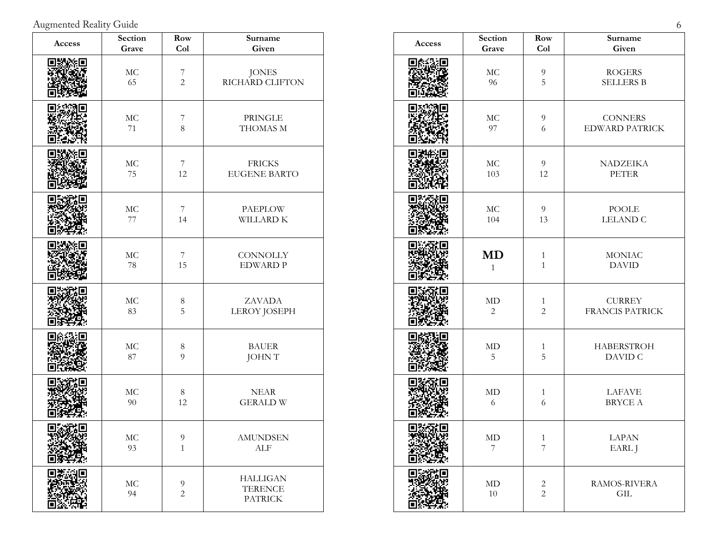Augmented Reality Guide 6

| Access | Section<br>Grave   | Row<br>Col                       | Surname<br>Given                                    | Access |
|--------|--------------------|----------------------------------|-----------------------------------------------------|--------|
|        | $\rm MC$<br>65     | $\overline{7}$<br>$\overline{c}$ | <b>JONES</b><br>RICHARD CLIFTON                     |        |
|        | $\rm MC$<br>$71\,$ | $\boldsymbol{7}$<br>$\,8\,$      | PRINGLE<br>THOMAS M                                 |        |
|        | $\rm MC$<br>75     | 7<br>12                          | <b>FRICKS</b><br><b>EUGENE BARTO</b>                |        |
|        | $\rm MC$<br>$77\,$ | $\boldsymbol{7}$<br>14           | <b>PAEPLOW</b><br>WILLARD K                         |        |
|        | $\rm MC$<br>$78\,$ | $\overline{7}$<br>15             | <b>CONNOLLY</b><br><b>EDWARD P</b>                  |        |
|        | $\rm MC$<br>$83\,$ | $\,8\,$<br>5                     | ZAVADA<br>LEROY JOSEPH                              |        |
|        | $\rm MC$<br>$87\,$ | $\,8\,$<br>$\overline{9}$        | <b>BAUER</b><br><b>JOHNT</b>                        |        |
|        | $\rm MC$<br>$90\,$ | $\,8\,$<br>12                    | <b>NEAR</b><br><b>GERALD W</b>                      |        |
|        | MC<br>93           | 9<br>$\mathbf{1}$                | <b>AMUNDSEN</b><br>${\rm ALF}$                      |        |
|        | $\rm MC$<br>94     | $\overline{9}$<br>$\sqrt{2}$     | <b>HALLIGAN</b><br><b>TERENCE</b><br><b>PATRICK</b> |        |

| Access | Section        | Row              | Surname                |
|--------|----------------|------------------|------------------------|
|        | Grave          | Col              | Given                  |
|        | $\rm MC$       | $\boldsymbol{9}$ | <b>ROGERS</b>          |
|        | 96             | 5                | <b>SELLERS B</b>       |
|        | $\rm MC$       | $\overline{9}$   | <b>CONNERS</b>         |
|        | 97             | 6                | <b>EDWARD PATRICK</b>  |
|        | $\rm MC$       | 9                | NADZEIKA               |
|        | 103            | 12               | <b>PETER</b>           |
|        | MC             | $\overline{9}$   | POOLE                  |
|        | 104            | 13               | <b>LELAND C</b>        |
|        | <b>MD</b>      | $\mathbf{1}$     | <b>MONIAC</b>          |
|        | $\mathbf{1}$   | $\mathbf{1}$     | <b>DAVID</b>           |
|        | MD             | $\mathbf{1}$     | <b>CURREY</b>          |
|        | $\overline{2}$ | $\overline{c}$   | <b>FRANCIS PATRICK</b> |
|        | MD             | $\mathbf{1}$     | <b>HABERSTROH</b>      |
|        | $\mathbf 5$    | $\overline{5}$   | DAVID C                |
|        | MD             | $\mathbf{1}$     | <b>LAFAVE</b>          |
|        | 6              | $\sqrt{6}$       | BRYCE A                |
|        | MD             | 1                | LAPAN                  |
|        | 7              | $\overline{7}$   | EARL J                 |
|        | $\mbox{MD}$    | $\mathbf{2}$     | RAMOS-RIVERA           |
|        | $10\,$         | $\overline{c}$   | GIL                    |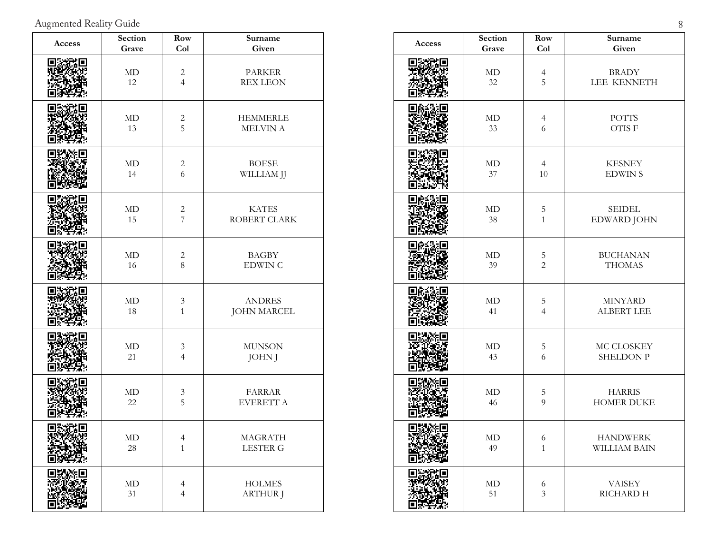Augmented Reality Guide 8

| Access | Section     | Row            | Surname            |
|--------|-------------|----------------|--------------------|
|        | Grave       | Col            | Given              |
|        | $\mbox{MD}$ | $\sqrt{2}$     | <b>PARKER</b>      |
|        | 12          | $\overline{4}$ | <b>REX LEON</b>    |
|        | $\mbox{MD}$ | $\overline{c}$ | <b>HEMMERLE</b>    |
|        | 13          | 5              | MELVIN A           |
|        | $\rm MD$    | $\sqrt{2}$     | <b>BOESE</b>       |
|        | 14          | 6              | WILLIAM JJ         |
|        | $\mbox{MD}$ | $\overline{c}$ | <b>KATES</b>       |
|        | 15          | $\overline{7}$ | ROBERT CLARK       |
|        | MD          | $\overline{c}$ | <b>BAGBY</b>       |
|        | 16          | 8              | <b>EDWIN C</b>     |
|        | MD          | $\sqrt{3}$     | <b>ANDRES</b>      |
|        | 18          | $\mathbf{1}$   | <b>JOHN MARCEL</b> |
|        | $\rm MD$    | $\mathfrak{Z}$ | <b>MUNSON</b>      |
|        | 21          | $\overline{4}$ | <b>JOHN</b> J      |
|        | $\rm MD$    | $\sqrt{3}$     | <b>FARRAR</b>      |
|        | 22          | 5              | EVERETT A          |
|        | МD          | 4              | <b>MAGRATH</b>     |
|        | 28          | $\mathbf{1}$   | <b>LESTER G</b>    |
|        | $\mbox{MD}$ | $\overline{4}$ | <b>HOLMES</b>      |
|        | 31          | $\overline{4}$ | <b>ARTHUR J</b>    |

| Access | Section     | Row            | Surname           |
|--------|-------------|----------------|-------------------|
|        | Grave       | Col            | Given             |
|        | $\mbox{MD}$ | $\overline{4}$ | <b>BRADY</b>      |
|        | 32          | 5              | LEE KENNETH       |
|        | $\rm MD$    | $\overline{4}$ | <b>POTTS</b>      |
|        | 33          | 6              | OTIS F            |
|        | $\mbox{MD}$ | $\overline{4}$ | <b>KESNEY</b>     |
|        | 37          | 10             | <b>EDWINS</b>     |
|        | $\rm MD$    | $\mathbf 5$    | <b>SEIDEL</b>     |
|        | 38          | $\mathbf{1}$   | EDWARD JOHN       |
|        | $\rm MD$    | 5              | <b>BUCHANAN</b>   |
|        | 39          | $\overline{2}$ | <b>THOMAS</b>     |
|        | MD          | $\mathbf 5$    | <b>MINYARD</b>    |
|        | 41          | $\overline{4}$ | <b>ALBERT LEE</b> |
|        | $\rm MD$    | $\mathbf 5$    | MC CLOSKEY        |
|        | 43          | 6              | <b>SHELDON P</b>  |
|        | $\rm MD$    | $\mathbf 5$    | <b>HARRIS</b>     |
|        | 46          | 9              | <b>HOMER DUKE</b> |
|        | $\rm MD$    | 6              | <b>HANDWERK</b>   |
|        | 49          | $\mathbf{1}$   | WILLIAM BAIN      |
|        | $\rm MD$    | $\sqrt{6}$     | <b>VAISEY</b>     |
|        | 51          | 3              | RICHARD H         |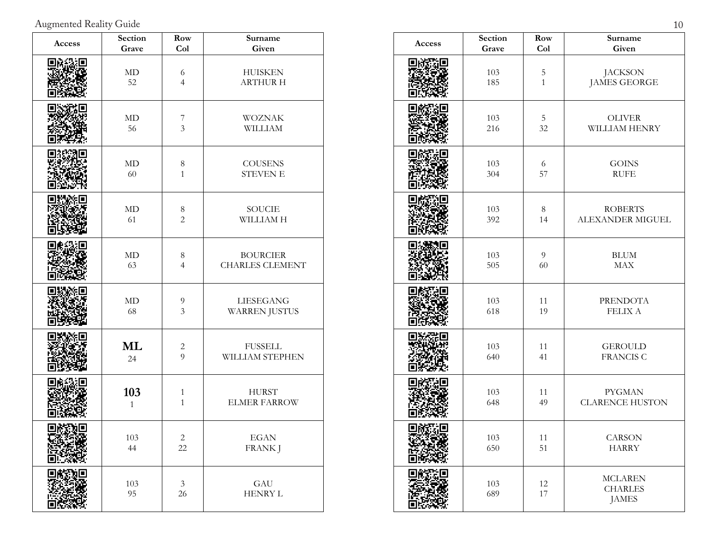Augmented Reality Guide 10

| Access | Section<br>Grave    | <b>Row</b><br>Col                  | Surname<br>Given                          | Access |
|--------|---------------------|------------------------------------|-------------------------------------------|--------|
|        | $\mbox{MD}$<br>52   | 6<br>$\overline{4}$                | <b>HUISKEN</b><br><b>ARTHUR H</b>         |        |
|        | $\mbox{MD}$<br>56   | $\overline{7}$<br>$\mathfrak{Z}$   | <b>WOZNAK</b><br>WILLIAM                  |        |
|        | $\mbox{MD}$<br>60   | $\,8\,$<br>$\mathbf{1}$            | <b>COUSENS</b><br>STEVEN E                |        |
|        | $\mbox{MD}$<br>61   | $\,8\,$<br>$\sqrt{2}$              | SOUCIE<br>WILLIAM H                       |        |
|        | $\mbox{MD}$<br>63   | $\,8\,$<br>$\overline{4}$          | <b>BOURCIER</b><br><b>CHARLES CLEMENT</b> |        |
|        | $\mbox{MD}$<br>68   | $\boldsymbol{9}$<br>$\mathfrak{Z}$ | LIESEGANG<br><b>WARREN JUSTUS</b>         |        |
|        | ML<br>24            | $\sqrt{2}$<br>9                    | <b>FUSSELL</b><br>WILLIAM STEPHEN         |        |
|        | 103<br>$\mathbf{1}$ | $\mathbf{1}$<br>$\,1\,$            | <b>HURST</b><br><b>ELMER FARROW</b>       |        |
|        | 103<br>$44$         | $\angle$<br>22                     | $_{\rm EGAN}$<br><b>FRANK J</b>           |        |
|        | $103\,$<br>95       | $\ensuremath{\mathfrak{Z}}$<br>26  | $\operatorname{GAU}$<br>HENRY L           |        |

| Access | Section    | Row            | Surname                                          |
|--------|------------|----------------|--------------------------------------------------|
|        | Grave      | Col            | Given                                            |
|        | 103        | $\mathbf 5$    | <b>JACKSON</b>                                   |
|        | 185        | $\mathbf{1}$   | <b>JAMES GEORGE</b>                              |
|        | 103        | $5\,$          | OLIVER                                           |
|        | 216        | 32             | WILLIAM HENRY                                    |
|        | 103        | 6              | <b>GOINS</b>                                     |
|        | 304        | 57             | <b>RUFE</b>                                      |
|        | 103        | $\,8\,$        | <b>ROBERTS</b>                                   |
|        | 392        | 14             | ALEXANDER MIGUEL                                 |
|        | 103        | $\overline{9}$ | <b>BLUM</b>                                      |
|        | 505        | 60             | MAX                                              |
|        | 103        | 11             | <b>PRENDOTA</b>                                  |
|        | 618        | 19             | <b>FELIX A</b>                                   |
|        | 103        | 11             | <b>GEROULD</b>                                   |
|        | 640        | 41             | <b>FRANCIS C</b>                                 |
|        | 103        | 11             | <b>PYGMAN</b>                                    |
|        | 648        | 49             | <b>CLARENCE HUSTON</b>                           |
| 回航站    | 103        | 11             | CARSON                                           |
| Ц      | 650        | 51             | <b>HARRY</b>                                     |
|        | 103<br>689 | 12<br>17       | <b>MCLAREN</b><br><b>CHARLES</b><br><b>JAMES</b> |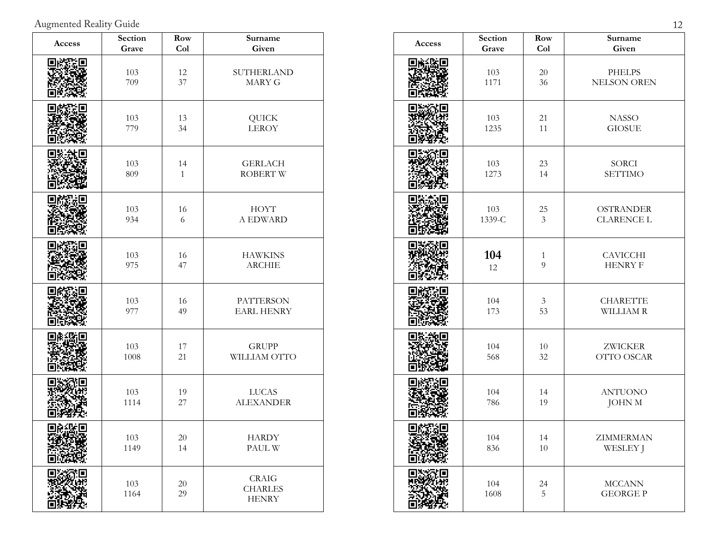Augmented Reality Guide 12

| Access | Section     | Row          | Surname                                        |
|--------|-------------|--------------|------------------------------------------------|
|        | Grave       | <b>Col</b>   | Given                                          |
|        | 103         | 12           | SUTHERLAND                                     |
|        | 709         | 37           | <b>MARY G</b>                                  |
|        | 103         | 13           | QUICK                                          |
|        | 779         | 34           | <b>LEROY</b>                                   |
|        | 103         | 14           | <b>GERLACH</b>                                 |
|        | 809         | $\mathbf{1}$ | <b>ROBERT W</b>                                |
|        | 103         | 16           | <b>HOYT</b>                                    |
|        | 934         | 6            | A EDWARD                                       |
|        | 103         | 16           | <b>HAWKINS</b>                                 |
|        | 975         | 47           | <b>ARCHIE</b>                                  |
|        | 103         | 16           | <b>PATTERSON</b>                               |
|        | 977         | 49           | <b>EARL HENRY</b>                              |
|        | 103         | 17           | <b>GRUPP</b>                                   |
|        | 1008        | 21           | WILLIAM OTTO                                   |
|        | 103         | 19           | <b>LUCAS</b>                                   |
|        | 1114        | $27\,$       | <b>ALEXANDER</b>                               |
|        | $103\,$     | 20           | <b>HARDY</b>                                   |
|        | 1149        | 14           | PAUL W                                         |
|        | 103<br>1164 | $20\,$<br>29 | <b>CRAIG</b><br><b>CHARLES</b><br><b>HENRY</b> |

| Access | Section | Row            | Surname            |
|--------|---------|----------------|--------------------|
|        | Grave   | Col            | Given              |
|        | 103     | $20\,$         | <b>PHELPS</b>      |
|        | 1171    | 36             | <b>NELSON OREN</b> |
|        | 103     | 21             | <b>NASSO</b>       |
|        | 1235    | 11             | <b>GIOSUE</b>      |
|        | 103     | 23             | SORCI              |
|        | 1273    | 14             | <b>SETTIMO</b>     |
|        | 103     | 25             | <b>OSTRANDER</b>   |
|        | 1339-C  | $\mathfrak{Z}$ | <b>CLARENCE L</b>  |
|        | 104     | $\mathbf{1}$   | <b>CAVICCHI</b>    |
|        | 12      | 9              | <b>HENRY F</b>     |
|        | 104     | $\mathfrak{Z}$ | <b>CHARETTE</b>    |
|        | 173     | 53             | WILLIAM R          |
|        | 104     | $10\,$         | <b>ZWICKER</b>     |
|        | 568     | 32             | OTTO OSCAR         |
|        | 104     | 14             | <b>ANTUONO</b>     |
|        | 786     | 19             | <b>JOHN M</b>      |
| ш      | 104     | 14             | ZIMMERMAN          |
|        | 836     | 10             | WESLEY J           |
|        | 104     | 24             | <b>MCCANN</b>      |
|        | 1608    | 5              | <b>GEORGE P</b>    |